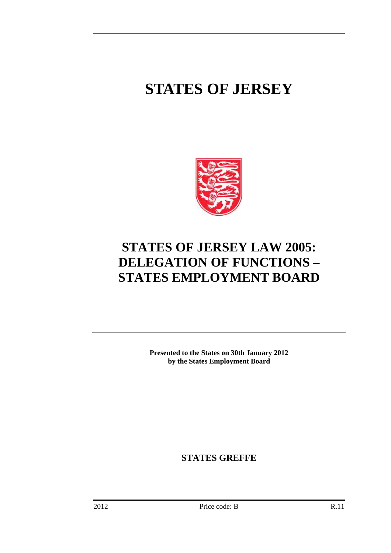## **STATES OF JERSEY**



## **STATES OF JERSEY LAW 2005: DELEGATION OF FUNCTIONS – STATES EMPLOYMENT BOARD**

**Presented to the States on 30th January 2012 by the States Employment Board** 

**STATES GREFFE**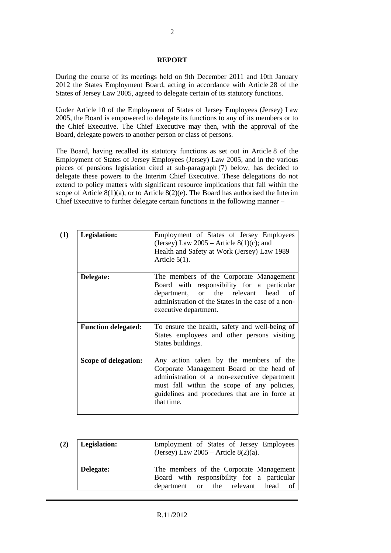## **REPORT**

During the course of its meetings held on 9th December 2011 and 10th January 2012 the States Employment Board, acting in accordance with Article 28 of the States of Jersey Law 2005, agreed to delegate certain of its statutory functions.

Under Article 10 of the Employment of States of Jersey Employees (Jersey) Law 2005, the Board is empowered to delegate its functions to any of its members or to the Chief Executive. The Chief Executive may then, with the approval of the Board, delegate powers to another person or class of persons.

The Board, having recalled its statutory functions as set out in Article 8 of the Employment of States of Jersey Employees (Jersey) Law 2005, and in the various pieces of pensions legislation cited at sub-paragraph (7) below, has decided to delegate these powers to the Interim Chief Executive. These delegations do not extend to policy matters with significant resource implications that fall within the scope of Article  $8(1)(a)$ , or to Article  $8(2)(e)$ . The Board has authorised the Interim Chief Executive to further delegate certain functions in the following manner –

| (1) | Legislation:               | Employment of States of Jersey Employees<br>(Jersey) Law $2005$ – Article $8(1)(c)$ ; and<br>Health and Safety at Work (Jersey) Law 1989 –<br>Article $5(1)$ .                                                                                     |
|-----|----------------------------|----------------------------------------------------------------------------------------------------------------------------------------------------------------------------------------------------------------------------------------------------|
|     | Delegate:                  | The members of the Corporate Management<br>Board with responsibility for a particular<br>department, or the relevant head of<br>administration of the States in the case of a non-<br>executive department.                                        |
|     | <b>Function delegated:</b> | To ensure the health, safety and well-being of<br>States employees and other persons visiting<br>States buildings.                                                                                                                                 |
|     | Scope of delegation:       | Any action taken by the members of the<br>Corporate Management Board or the head of<br>administration of a non-executive department<br>must fall within the scope of any policies,<br>guidelines and procedures that are in force at<br>that time. |

| (2) | Legislation: | Employment of States of Jersey Employees<br>(Jersey) Law $2005$ – Article 8(2)(a).                                       |
|-----|--------------|--------------------------------------------------------------------------------------------------------------------------|
|     | Delegate:    | The members of the Corporate Management<br>Board with responsibility for a particular<br>department or the relevant head |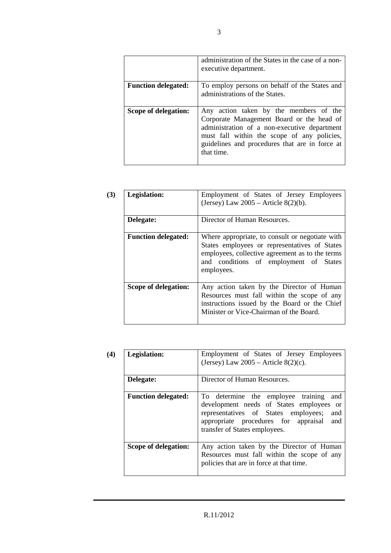|                            | administration of the States in the case of a non-<br>executive department.                                                                                                                                                                        |
|----------------------------|----------------------------------------------------------------------------------------------------------------------------------------------------------------------------------------------------------------------------------------------------|
| <b>Function delegated:</b> | To employ persons on behalf of the States and<br>administrations of the States.                                                                                                                                                                    |
| Scope of delegation:       | Any action taken by the members of the<br>Corporate Management Board or the head of<br>administration of a non-executive department<br>must fall within the scope of any policies,<br>guidelines and procedures that are in force at<br>that time. |

| (3) | Legislation:               | Employment of States of Jersey Employees<br>(Jersey) Law $2005$ – Article $8(2)(b)$ .                                                                                                                       |
|-----|----------------------------|-------------------------------------------------------------------------------------------------------------------------------------------------------------------------------------------------------------|
|     | Delegate:                  | Director of Human Resources.                                                                                                                                                                                |
|     | <b>Function delegated:</b> | Where appropriate, to consult or negotiate with<br>States employees or representatives of States<br>employees, collective agreement as to the terms<br>and conditions of employment of States<br>employees. |
|     | Scope of delegation:       | Any action taken by the Director of Human<br>Resources must fall within the scope of any<br>instructions issued by the Board or the Chief<br>Minister or Vice-Chairman of the Board.                        |

| (4) | Legislation:               | Employment of States of Jersey Employees<br>(Jersey) Law $2005$ – Article $8(2)(c)$ .                                                                                                                                |
|-----|----------------------------|----------------------------------------------------------------------------------------------------------------------------------------------------------------------------------------------------------------------|
|     | Delegate:                  | Director of Human Resources.                                                                                                                                                                                         |
|     | <b>Function delegated:</b> | To determine the employee training<br>and<br>development needs of States employees or<br>representatives of States employees;<br>and<br>appropriate procedures for appraisal<br>and<br>transfer of States employees. |
|     | Scope of delegation:       | Any action taken by the Director of Human<br>Resources must fall within the scope of any<br>policies that are in force at that time.                                                                                 |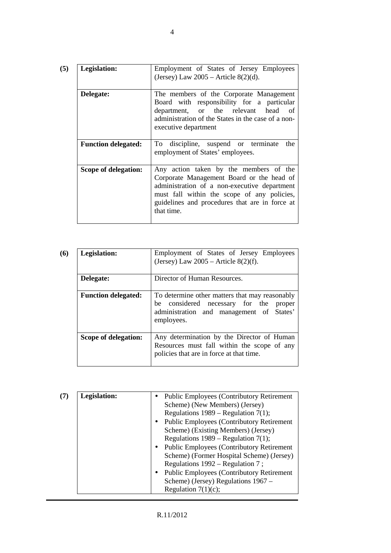| Legislation:               | Employment of States of Jersey Employees<br>(Jersey) Law $2005$ – Article $8(2)(d)$ .                                                                                                                                                              |
|----------------------------|----------------------------------------------------------------------------------------------------------------------------------------------------------------------------------------------------------------------------------------------------|
| Delegate:                  | The members of the Corporate Management<br>Board with responsibility for a particular<br>department, or the relevant head of<br>administration of the States in the case of a non-<br>executive department                                         |
| <b>Function delegated:</b> | discipline, suspend or terminate<br>To<br>the<br>employment of States' employees.                                                                                                                                                                  |
| Scope of delegation:       | Any action taken by the members of the<br>Corporate Management Board or the head of<br>administration of a non-executive department<br>must fall within the scope of any policies,<br>guidelines and procedures that are in force at<br>that time. |

4

| (6) | Legislation:               | Employment of States of Jersey Employees<br>(Jersey) Law $2005$ – Article $8(2)(f)$ .                                                              |
|-----|----------------------------|----------------------------------------------------------------------------------------------------------------------------------------------------|
|     | Delegate:                  | Director of Human Resources.                                                                                                                       |
|     | <b>Function delegated:</b> | To determine other matters that may reasonably<br>be considered necessary for the proper<br>administration and management of States'<br>employees. |
|     | Scope of delegation:       | Any determination by the Director of Human<br>Resources must fall within the scope of any<br>policies that are in force at that time.              |

| (7) | Legislation: | $\bullet$<br>$\bullet$ | <b>Public Employees (Contributory Retirement)</b><br>Scheme) (New Members) (Jersey)<br>Regulations $1989$ – Regulation 7(1);<br><b>Public Employees (Contributory Retirement</b> )<br>Scheme) (Existing Members) (Jersey)<br>Regulations $1989$ – Regulation 7(1);<br><b>Public Employees (Contributory Retirement</b><br>Scheme) (Former Hospital Scheme) (Jersey)<br>Regulations $1992 -$ Regulation 7; |
|-----|--------------|------------------------|-----------------------------------------------------------------------------------------------------------------------------------------------------------------------------------------------------------------------------------------------------------------------------------------------------------------------------------------------------------------------------------------------------------|
|     |              |                        |                                                                                                                                                                                                                                                                                                                                                                                                           |
|     |              |                        |                                                                                                                                                                                                                                                                                                                                                                                                           |
|     |              | $\bullet$              | <b>Public Employees (Contributory Retirement)</b>                                                                                                                                                                                                                                                                                                                                                         |
|     |              |                        | Scheme) (Jersey) Regulations 1967 –                                                                                                                                                                                                                                                                                                                                                                       |
|     |              |                        | Regulation $7(1)(c)$ ;                                                                                                                                                                                                                                                                                                                                                                                    |